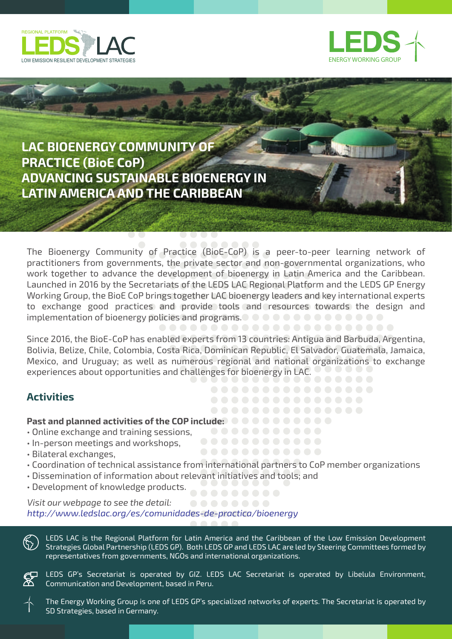



## **LAC BIOENERGY COMMUNITY OF PRACTICE (BioE CoP) ADVANCING SUSTAINABLE BIOENERGY IN LATIN AMERICA AND THE CARIBBEAN**

The Bioenergy Community of Practice (BioE-CoP) is a peer-to-peer learning network of practitioners from governments, the private sector and non-governmental organizations, who work together to advance the development of bioenergy in Latin America and the Caribbean. Launched in 2016 by the Secretariats of the LEDS LAC Regional Platform and the LEDS GP Energy Working Group, the BioE CoP brings together LAC bioenergy leaders and key international experts to exchange good practices and provide tools and resources towards the design and implementation of bioenergy policies and programs.

Since 2016, the BioE-CoP has enabled experts from 13 countries: Antigua and Barbuda, Argentina, Bolivia, Belize, Chile, Colombia, Costa Rica, Dominican Republic, El Salvador, Guatemala, Jamaica, Mexico, and Uruguay; as well as numerous regional and national organizations to exchange experiences about opportunities and challenges for bioenergy in LAC.

### **Activities**

# **Past and planned activities of the COP include:**

- Online exchange and training sessions,
- In-person meetings and workshops,
- Bilateral exchanges,
- Coordination of technical assistance from international partners to CoP member organizations
- Dissemination of information about relevant initiatives and tools; and
- Development of knowledge products.

#### *Visit our webpage to see the detail: http://www.ledslac.org/es/comunidades-de-practica/bioenergy*

LEDS LAC is the Regional Platform for Latin America and the Caribbean of the Low Emission Development Strategies Global Partnership (LEDS GP). Both LEDS GP and LEDS LAC are led by Steering Committees formed by representatives from governments, NGOs and international organizations.

LEDS GP's Secretariat is operated by GIZ. LEDS LAC Secretariat is operated by Libelula Environment, Communication and Development, based in Peru.

The Energy Working Group is one of LEDS GP's specialized networks of experts. The Secretariat is operated by SD Strategies, based in Germany.